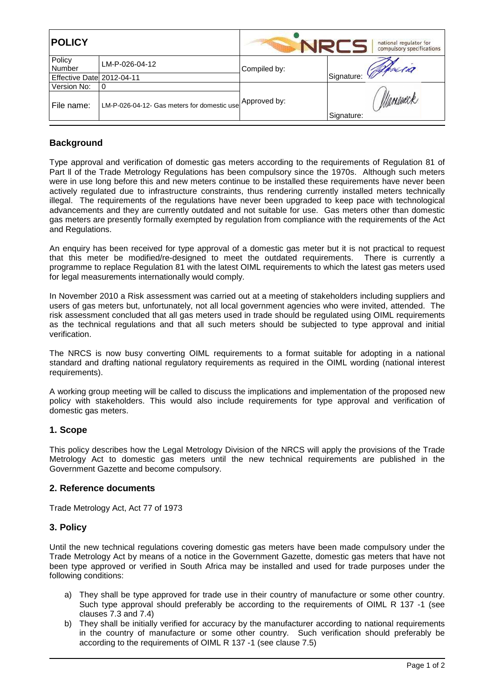| <b>POLICY</b>             |                                             | national regulator for<br>compulsory specifications |                        |
|---------------------------|---------------------------------------------|-----------------------------------------------------|------------------------|
| Policy<br>Number          | LM-P-026-04-12                              | Compiled by:                                        | Signature: Whicha      |
| Effective Date 2012-04-11 |                                             |                                                     |                        |
| Version No:               | <b>0</b>                                    |                                                     |                        |
| File name:                | LM-P-026-04-12- Gas meters for domestic use | Approved by:                                        | Maneueck<br>Signature: |

## **Background**

Type approval and verification of domestic gas meters according to the requirements of Regulation 81 of Part ll of the Trade Metrology Regulations has been compulsory since the 1970s. Although such meters were in use long before this and new meters continue to be installed these requirements have never been actively regulated due to infrastructure constraints, thus rendering currently installed meters technically illegal. The requirements of the regulations have never been upgraded to keep pace with technological advancements and they are currently outdated and not suitable for use. Gas meters other than domestic gas meters are presently formally exempted by regulation from compliance with the requirements of the Act and Regulations.

An enquiry has been received for type approval of a domestic gas meter but it is not practical to request that this meter be modified/re-designed to meet the outdated requirements. There is currently a programme to replace Regulation 81 with the latest OIML requirements to which the latest gas meters used for legal measurements internationally would comply.

In November 2010 a Risk assessment was carried out at a meeting of stakeholders including suppliers and users of gas meters but, unfortunately, not all local government agencies who were invited, attended. The risk assessment concluded that all gas meters used in trade should be regulated using OIML requirements as the technical regulations and that all such meters should be subjected to type approval and initial verification.

The NRCS is now busy converting OIML requirements to a format suitable for adopting in a national standard and drafting national regulatory requirements as required in the OIML wording (national interest requirements).

A working group meeting will be called to discuss the implications and implementation of the proposed new policy with stakeholders. This would also include requirements for type approval and verification of domestic gas meters.

## **1. Scope**

This policy describes how the Legal Metrology Division of the NRCS will apply the provisions of the Trade Metrology Act to domestic gas meters until the new technical requirements are published in the Government Gazette and become compulsory.

## **2. Reference documents**

Trade Metrology Act, Act 77 of 1973

## **3. Policy**

Until the new technical regulations covering domestic gas meters have been made compulsory under the Trade Metrology Act by means of a notice in the Government Gazette, domestic gas meters that have not been type approved or verified in South Africa may be installed and used for trade purposes under the following conditions:

- a) They shall be type approved for trade use in their country of manufacture or some other country. Such type approval should preferably be according to the requirements of OIML R 137 -1 (see clauses 7.3 and 7.4)
- b) They shall be initially verified for accuracy by the manufacturer according to national requirements in the country of manufacture or some other country. Such verification should preferably be according to the requirements of OIML R 137 -1 (see clause 7.5)